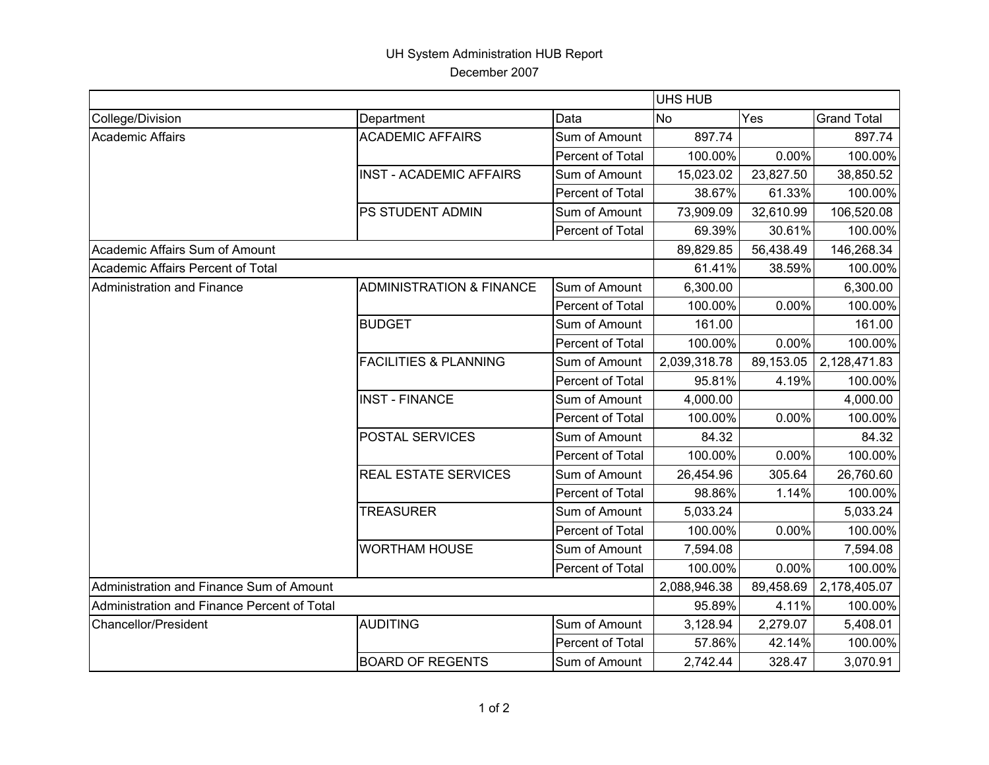## UH System Administration HUB Report December 2007

|                                             |                                     |                         |                  | <b>UHS HUB</b> |                    |  |  |
|---------------------------------------------|-------------------------------------|-------------------------|------------------|----------------|--------------------|--|--|
| College/Division                            | Department                          | Data                    | <b>No</b><br>Yes |                | <b>Grand Total</b> |  |  |
| <b>Academic Affairs</b>                     | <b>ACADEMIC AFFAIRS</b>             | Sum of Amount           | 897.74           |                | 897.74             |  |  |
|                                             |                                     | Percent of Total        | 100.00%          | 0.00%          | 100.00%            |  |  |
|                                             | <b>INST - ACADEMIC AFFAIRS</b>      | Sum of Amount           | 15,023.02        | 23,827.50      | 38,850.52          |  |  |
|                                             |                                     | Percent of Total        | 38.67%           | 61.33%         | 100.00%            |  |  |
|                                             | PS STUDENT ADMIN                    | Sum of Amount           | 73,909.09        | 32,610.99      | 106,520.08         |  |  |
|                                             |                                     | Percent of Total        | 69.39%           | 30.61%         | 100.00%            |  |  |
| Academic Affairs Sum of Amount              |                                     |                         | 89,829.85        | 56,438.49      | 146,268.34         |  |  |
| Academic Affairs Percent of Total           |                                     |                         | 61.41%           | 38.59%         | 100.00%            |  |  |
| <b>Administration and Finance</b>           | <b>ADMINISTRATION &amp; FINANCE</b> | Sum of Amount           | 6,300.00         |                | 6,300.00           |  |  |
|                                             |                                     | Percent of Total        | 100.00%          | 0.00%          | 100.00%            |  |  |
|                                             | <b>BUDGET</b>                       | Sum of Amount           | 161.00           |                | 161.00             |  |  |
|                                             |                                     | Percent of Total        | 100.00%          | 0.00%          | 100.00%            |  |  |
|                                             | <b>FACILITIES &amp; PLANNING</b>    | Sum of Amount           | 2,039,318.78     | 89,153.05      | 2,128,471.83       |  |  |
|                                             |                                     | Percent of Total        | 95.81%           | 4.19%          | 100.00%            |  |  |
|                                             | <b>INST - FINANCE</b>               | Sum of Amount           | 4,000.00         |                | 4,000.00           |  |  |
|                                             |                                     | <b>Percent of Total</b> | 100.00%          | 0.00%          | 100.00%            |  |  |
|                                             | POSTAL SERVICES                     | Sum of Amount           | 84.32            |                | 84.32              |  |  |
|                                             |                                     | Percent of Total        | 100.00%          | 0.00%          | 100.00%            |  |  |
|                                             | REAL ESTATE SERVICES                | Sum of Amount           | 26,454.96        | 305.64         | 26,760.60          |  |  |
|                                             |                                     | Percent of Total        | 98.86%           | 1.14%          | 100.00%            |  |  |
|                                             | <b>TREASURER</b>                    | Sum of Amount           | 5,033.24         |                | 5,033.24           |  |  |
|                                             |                                     | Percent of Total        | 100.00%          | 0.00%          | 100.00%            |  |  |
|                                             | <b>WORTHAM HOUSE</b>                | Sum of Amount           | 7,594.08         |                | 7,594.08           |  |  |
|                                             |                                     | <b>Percent of Total</b> | 100.00%          | 0.00%          | 100.00%            |  |  |
| Administration and Finance Sum of Amount    |                                     |                         | 2,088,946.38     | 89,458.69      | 2,178,405.07       |  |  |
| Administration and Finance Percent of Total |                                     |                         | 95.89%           | 4.11%          | 100.00%            |  |  |
| <b>Chancellor/President</b>                 | <b>AUDITING</b>                     | Sum of Amount           | 3,128.94         | 2,279.07       | 5,408.01           |  |  |
|                                             |                                     | Percent of Total        | 57.86%           | 42.14%         | 100.00%            |  |  |
|                                             | <b>BOARD OF REGENTS</b>             | Sum of Amount           | 2,742.44         | 328.47         | 3,070.91           |  |  |